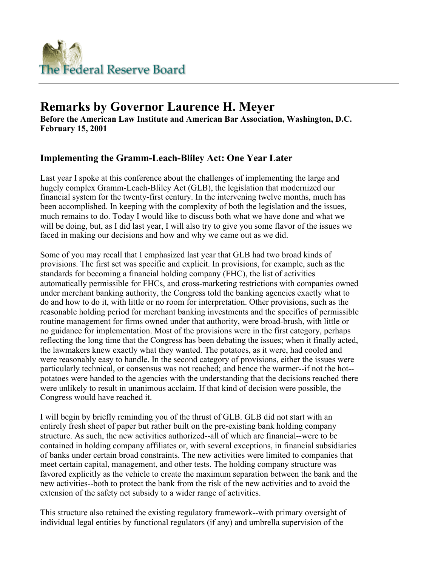

# **Remarks by Governor Laurence H. Meyer**

**Before the American Law Institute and American Bar Association, Washington, D.C. February 15, 2001** 

### **Implementing the Gramm-Leach-Bliley Act: One Year Later**

Last year I spoke at this conference about the challenges of implementing the large and hugely complex Gramm-Leach-Bliley Act (GLB), the legislation that modernized our financial system for the twenty-first century. In the intervening twelve months, much has been accomplished. In keeping with the complexity of both the legislation and the issues, much remains to do. Today I would like to discuss both what we have done and what we will be doing, but, as I did last year, I will also try to give you some flavor of the issues we faced in making our decisions and how and why we came out as we did.

Some of you may recall that I emphasized last year that GLB had two broad kinds of provisions. The first set was specific and explicit. In provisions, for example, such as the standards for becoming a financial holding company (FHC), the list of activities automatically permissible for FHCs, and cross-marketing restrictions with companies owned under merchant banking authority, the Congress told the banking agencies exactly what to do and how to do it, with little or no room for interpretation. Other provisions, such as the reasonable holding period for merchant banking investments and the specifics of permissible routine management for firms owned under that authority, were broad-brush, with little or no guidance for implementation. Most of the provisions were in the first category, perhaps reflecting the long time that the Congress has been debating the issues; when it finally acted, the lawmakers knew exactly what they wanted. The potatoes, as it were, had cooled and were reasonably easy to handle. In the second category of provisions, either the issues were particularly technical, or consensus was not reached; and hence the warmer--if not the hot- potatoes were handed to the agencies with the understanding that the decisions reached there were unlikely to result in unanimous acclaim. If that kind of decision were possible, the Congress would have reached it.

I will begin by briefly reminding you of the thrust of GLB. GLB did not start with an entirely fresh sheet of paper but rather built on the pre-existing bank holding company structure. As such, the new activities authorized--all of which are financial--were to be contained in holding company affiliates or, with several exceptions, in financial subsidiaries of banks under certain broad constraints. The new activities were limited to companies that meet certain capital, management, and other tests. The holding company structure was favored explicitly as the vehicle to create the maximum separation between the bank and the new activities--both to protect the bank from the risk of the new activities and to avoid the extension of the safety net subsidy to a wider range of activities.

This structure also retained the existing regulatory framework--with primary oversight of individual legal entities by functional regulators (if any) and umbrella supervision of the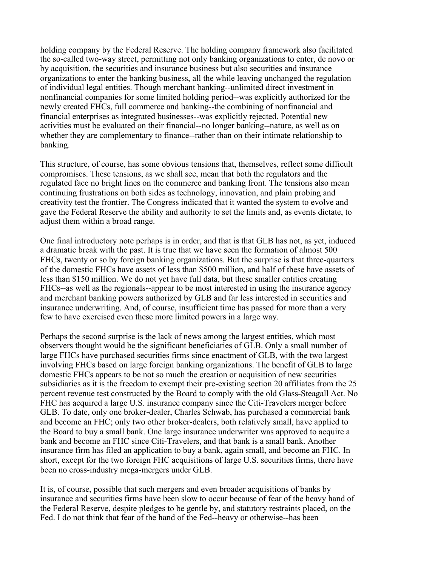holding company by the Federal Reserve. The holding company framework also facilitated the so-called two-way street, permitting not only banking organizations to enter, de novo or by acquisition, the securities and insurance business but also securities and insurance organizations to enter the banking business, all the while leaving unchanged the regulation of individual legal entities. Though merchant banking--unlimited direct investment in nonfinancial companies for some limited holding period--was explicitly authorized for the newly created FHCs, full commerce and banking--the combining of nonfinancial and financial enterprises as integrated businesses--was explicitly rejected. Potential new activities must be evaluated on their financial--no longer banking--nature, as well as on whether they are complementary to finance--rather than on their intimate relationship to banking.

This structure, of course, has some obvious tensions that, themselves, reflect some difficult compromises. These tensions, as we shall see, mean that both the regulators and the regulated face no bright lines on the commerce and banking front. The tensions also mean continuing frustrations on both sides as technology, innovation, and plain probing and creativity test the frontier. The Congress indicated that it wanted the system to evolve and gave the Federal Reserve the ability and authority to set the limits and, as events dictate, to adjust them within a broad range.

One final introductory note perhaps is in order, and that is that GLB has not, as yet, induced a dramatic break with the past. It is true that we have seen the formation of almost 500 FHCs, twenty or so by foreign banking organizations. But the surprise is that three-quarters of the domestic FHCs have assets of less than \$500 million, and half of these have assets of less than \$150 million. We do not yet have full data, but these smaller entities creating FHCs--as well as the regionals--appear to be most interested in using the insurance agency and merchant banking powers authorized by GLB and far less interested in securities and insurance underwriting. And, of course, insufficient time has passed for more than a very few to have exercised even these more limited powers in a large way.

Perhaps the second surprise is the lack of news among the largest entities, which most observers thought would be the significant beneficiaries of GLB. Only a small number of large FHCs have purchased securities firms since enactment of GLB, with the two largest involving FHCs based on large foreign banking organizations. The benefit of GLB to large domestic FHCs appears to be not so much the creation or acquisition of new securities subsidiaries as it is the freedom to exempt their pre-existing section 20 affiliates from the 25 percent revenue test constructed by the Board to comply with the old Glass-Steagall Act. No FHC has acquired a large U.S. insurance company since the Citi-Travelers merger before GLB. To date, only one broker-dealer, Charles Schwab, has purchased a commercial bank and become an FHC; only two other broker-dealers, both relatively small, have applied to the Board to buy a small bank. One large insurance underwriter was approved to acquire a bank and become an FHC since Citi-Travelers, and that bank is a small bank. Another insurance firm has filed an application to buy a bank, again small, and become an FHC. In short, except for the two foreign FHC acquisitions of large U.S. securities firms, there have been no cross-industry mega-mergers under GLB.

It is, of course, possible that such mergers and even broader acquisitions of banks by insurance and securities firms have been slow to occur because of fear of the heavy hand of the Federal Reserve, despite pledges to be gentle by, and statutory restraints placed, on the Fed. I do not think that fear of the hand of the Fed--heavy or otherwise--has been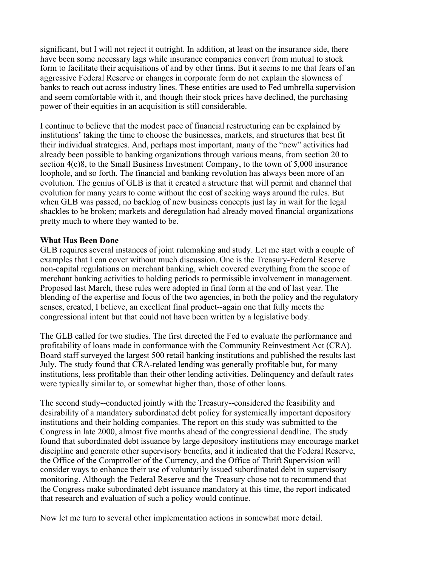significant, but I will not reject it outright. In addition, at least on the insurance side, there have been some necessary lags while insurance companies convert from mutual to stock form to facilitate their acquisitions of and by other firms. But it seems to me that fears of an aggressive Federal Reserve or changes in corporate form do not explain the slowness of banks to reach out across industry lines. These entities are used to Fed umbrella supervision and seem comfortable with it, and though their stock prices have declined, the purchasing power of their equities in an acquisition is still considerable.

I continue to believe that the modest pace of financial restructuring can be explained by institutions' taking the time to choose the businesses, markets, and structures that best fit their individual strategies. And, perhaps most important, many of the "new" activities had already been possible to banking organizations through various means, from section 20 to section 4(c)8, to the Small Business Investment Company, to the town of 5,000 insurance loophole, and so forth. The financial and banking revolution has always been more of an evolution. The genius of GLB is that it created a structure that will permit and channel that evolution for many years to come without the cost of seeking ways around the rules. But when GLB was passed, no backlog of new business concepts just lay in wait for the legal shackles to be broken; markets and deregulation had already moved financial organizations pretty much to where they wanted to be.

#### **What Has Been Done**

GLB requires several instances of joint rulemaking and study. Let me start with a couple of examples that I can cover without much discussion. One is the Treasury-Federal Reserve non-capital regulations on merchant banking, which covered everything from the scope of merchant banking activities to holding periods to permissible involvement in management. Proposed last March, these rules were adopted in final form at the end of last year. The blending of the expertise and focus of the two agencies, in both the policy and the regulatory senses, created, I believe, an excellent final product--again one that fully meets the congressional intent but that could not have been written by a legislative body.

The GLB called for two studies. The first directed the Fed to evaluate the performance and profitability of loans made in conformance with the Community Reinvestment Act (CRA). Board staff surveyed the largest 500 retail banking institutions and published the results last July. The study found that CRA-related lending was generally profitable but, for many institutions, less profitable than their other lending activities. Delinquency and default rates were typically similar to, or somewhat higher than, those of other loans.

The second study--conducted jointly with the Treasury--considered the feasibility and desirability of a mandatory subordinated debt policy for systemically important depository institutions and their holding companies. The report on this study was submitted to the Congress in late 2000, almost five months ahead of the congressional deadline. The study found that subordinated debt issuance by large depository institutions may encourage market discipline and generate other supervisory benefits, and it indicated that the Federal Reserve, the Office of the Comptroller of the Currency, and the Office of Thrift Supervision will consider ways to enhance their use of voluntarily issued subordinated debt in supervisory monitoring. Although the Federal Reserve and the Treasury chose not to recommend that the Congress make subordinated debt issuance mandatory at this time, the report indicated that research and evaluation of such a policy would continue.

Now let me turn to several other implementation actions in somewhat more detail.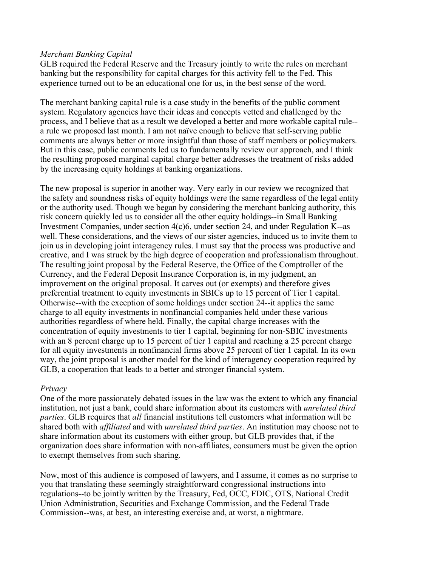#### *Merchant Banking Capital*

GLB required the Federal Reserve and the Treasury jointly to write the rules on merchant banking but the responsibility for capital charges for this activity fell to the Fed. This experience turned out to be an educational one for us, in the best sense of the word.

The merchant banking capital rule is a case study in the benefits of the public comment system. Regulatory agencies have their ideas and concepts vetted and challenged by the process, and I believe that as a result we developed a better and more workable capital rule- a rule we proposed last month. I am not naïve enough to believe that self-serving public comments are always better or more insightful than those of staff members or policymakers. But in this case, public comments led us to fundamentally review our approach, and I think the resulting proposed marginal capital charge better addresses the treatment of risks added by the increasing equity holdings at banking organizations.

The new proposal is superior in another way. Very early in our review we recognized that the safety and soundness risks of equity holdings were the same regardless of the legal entity or the authority used. Though we began by considering the merchant banking authority, this risk concern quickly led us to consider all the other equity holdings--in Small Banking Investment Companies, under section 4(c)6, under section 24, and under Regulation K--as well. These considerations, and the views of our sister agencies, induced us to invite them to join us in developing joint interagency rules. I must say that the process was productive and creative, and I was struck by the high degree of cooperation and professionalism throughout. The resulting joint proposal by the Federal Reserve, the Office of the Comptroller of the Currency, and the Federal Deposit Insurance Corporation is, in my judgment, an improvement on the original proposal. It carves out (or exempts) and therefore gives preferential treatment to equity investments in SBICs up to 15 percent of Tier 1 capital. Otherwise--with the exception of some holdings under section 24--it applies the same charge to all equity investments in nonfinancial companies held under these various authorities regardless of where held. Finally, the capital charge increases with the concentration of equity investments to tier 1 capital, beginning for non-SBIC investments with an 8 percent charge up to 15 percent of tier 1 capital and reaching a 25 percent charge for all equity investments in nonfinancial firms above 25 percent of tier 1 capital. In its own way, the joint proposal is another model for the kind of interagency cooperation required by GLB, a cooperation that leads to a better and stronger financial system.

#### *Privacy*

One of the more passionately debated issues in the law was the extent to which any financial institution, not just a bank, could share information about its customers with *unrelated third parties*. GLB requires that *all* financial institutions tell customers what information will be shared both with *affiliated* and with *unrelated third parties*. An institution may choose not to share information about its customers with either group, but GLB provides that, if the organization does share information with non-affiliates, consumers must be given the option to exempt themselves from such sharing.

Now, most of this audience is composed of lawyers, and I assume, it comes as no surprise to you that translating these seemingly straightforward congressional instructions into regulations--to be jointly written by the Treasury, Fed, OCC, FDIC, OTS, National Credit Union Administration, Securities and Exchange Commission, and the Federal Trade Commission--was, at best, an interesting exercise and, at worst, a nightmare.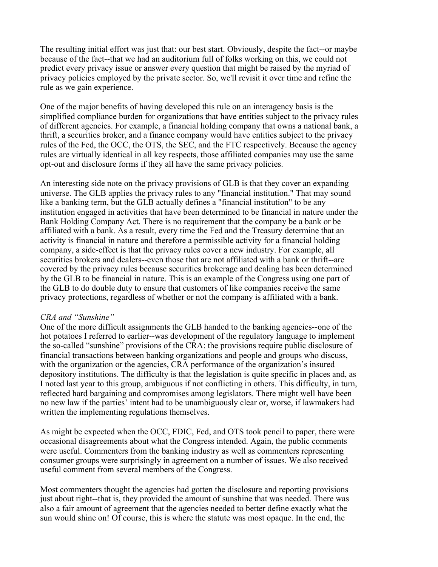The resulting initial effort was just that: our best start. Obviously, despite the fact--or maybe because of the fact--that we had an auditorium full of folks working on this, we could not predict every privacy issue or answer every question that might be raised by the myriad of privacy policies employed by the private sector. So, we'll revisit it over time and refine the rule as we gain experience.

One of the major benefits of having developed this rule on an interagency basis is the simplified compliance burden for organizations that have entities subject to the privacy rules of different agencies. For example, a financial holding company that owns a national bank, a thrift, a securities broker, and a finance company would have entities subject to the privacy rules of the Fed, the OCC, the OTS, the SEC, and the FTC respectively. Because the agency rules are virtually identical in all key respects, those affiliated companies may use the same opt-out and disclosure forms if they all have the same privacy policies.

An interesting side note on the privacy provisions of GLB is that they cover an expanding universe. The GLB applies the privacy rules to any "financial institution." That may sound like a banking term, but the GLB actually defines a "financial institution" to be any institution engaged in activities that have been determined to be financial in nature under the Bank Holding Company Act. There is no requirement that the company be a bank or be affiliated with a bank. As a result, every time the Fed and the Treasury determine that an activity is financial in nature and therefore a permissible activity for a financial holding company, a side-effect is that the privacy rules cover a new industry. For example, all securities brokers and dealers--even those that are not affiliated with a bank or thrift--are covered by the privacy rules because securities brokerage and dealing has been determined by the GLB to be financial in nature. This is an example of the Congress using one part of the GLB to do double duty to ensure that customers of like companies receive the same privacy protections, regardless of whether or not the company is affiliated with a bank.

#### *CRA and "Sunshine"*

One of the more difficult assignments the GLB handed to the banking agencies--one of the hot potatoes I referred to earlier--was development of the regulatory language to implement the so-called "sunshine" provisions of the CRA: the provisions require public disclosure of financial transactions between banking organizations and people and groups who discuss, with the organization or the agencies, CRA performance of the organization's insured depository institutions. The difficulty is that the legislation is quite specific in places and, as I noted last year to this group, ambiguous if not conflicting in others. This difficulty, in turn, reflected hard bargaining and compromises among legislators. There might well have been no new law if the parties' intent had to be unambiguously clear or, worse, if lawmakers had written the implementing regulations themselves.

As might be expected when the OCC, FDIC, Fed, and OTS took pencil to paper, there were occasional disagreements about what the Congress intended. Again, the public comments were useful. Commenters from the banking industry as well as commenters representing consumer groups were surprisingly in agreement on a number of issues. We also received useful comment from several members of the Congress.

Most commenters thought the agencies had gotten the disclosure and reporting provisions just about right--that is, they provided the amount of sunshine that was needed. There was also a fair amount of agreement that the agencies needed to better define exactly what the sun would shine on! Of course, this is where the statute was most opaque. In the end, the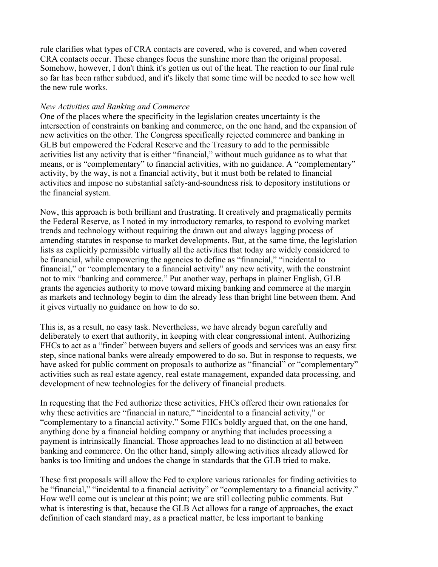rule clarifies what types of CRA contacts are covered, who is covered, and when covered CRA contacts occur. These changes focus the sunshine more than the original proposal. Somehow, however, I don't think it's gotten us out of the heat. The reaction to our final rule so far has been rather subdued, and it's likely that some time will be needed to see how well the new rule works.

#### *New Activities and Banking and Commerce*

One of the places where the specificity in the legislation creates uncertainty is the intersection of constraints on banking and commerce, on the one hand, and the expansion of new activities on the other. The Congress specifically rejected commerce and banking in GLB but empowered the Federal Reserve and the Treasury to add to the permissible activities list any activity that is either "financial," without much guidance as to what that means, or is "complementary" to financial activities, with no guidance. A "complementary" activity, by the way, is not a financial activity, but it must both be related to financial activities and impose no substantial safety-and-soundness risk to depository institutions or the financial system.

Now, this approach is both brilliant and frustrating. It creatively and pragmatically permits the Federal Reserve, as I noted in my introductory remarks, to respond to evolving market trends and technology without requiring the drawn out and always lagging process of amending statutes in response to market developments. But, at the same time, the legislation lists as explicitly permissible virtually all the activities that today are widely considered to be financial, while empowering the agencies to define as "financial," "incidental to financial," or "complementary to a financial activity" any new activity, with the constraint not to mix "banking and commerce." Put another way, perhaps in plainer English, GLB grants the agencies authority to move toward mixing banking and commerce at the margin as markets and technology begin to dim the already less than bright line between them. And it gives virtually no guidance on how to do so.

This is, as a result, no easy task. Nevertheless, we have already begun carefully and deliberately to exert that authority, in keeping with clear congressional intent. Authorizing FHCs to act as a "finder" between buyers and sellers of goods and services was an easy first step, since national banks were already empowered to do so. But in response to requests, we have asked for public comment on proposals to authorize as "financial" or "complementary" activities such as real estate agency, real estate management, expanded data processing, and development of new technologies for the delivery of financial products.

In requesting that the Fed authorize these activities, FHCs offered their own rationales for why these activities are "financial in nature," "incidental to a financial activity," or "complementary to a financial activity." Some FHCs boldly argued that, on the one hand, anything done by a financial holding company or anything that includes processing a payment is intrinsically financial. Those approaches lead to no distinction at all between banking and commerce. On the other hand, simply allowing activities already allowed for banks is too limiting and undoes the change in standards that the GLB tried to make.

These first proposals will allow the Fed to explore various rationales for finding activities to be "financial," "incidental to a financial activity" or "complementary to a financial activity." How we'll come out is unclear at this point; we are still collecting public comments. But what is interesting is that, because the GLB Act allows for a range of approaches, the exact definition of each standard may, as a practical matter, be less important to banking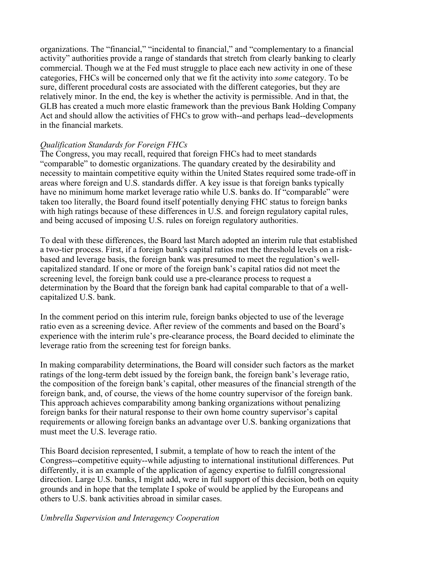organizations. The "financial," "incidental to financial," and "complementary to a financial activity" authorities provide a range of standards that stretch from clearly banking to clearly commercial. Though we at the Fed must struggle to place each new activity in one of these categories, FHCs will be concerned only that we fit the activity into *some* category. To be sure, different procedural costs are associated with the different categories, but they are relatively minor. In the end, the key is whether the activity is permissible. And in that, the GLB has created a much more elastic framework than the previous Bank Holding Company Act and should allow the activities of FHCs to grow with--and perhaps lead--developments in the financial markets.

#### *Qualification Standards for Foreign FHCs*

The Congress, you may recall, required that foreign FHCs had to meet standards "comparable" to domestic organizations. The quandary created by the desirability and necessity to maintain competitive equity within the United States required some trade-off in areas where foreign and U.S. standards differ. A key issue is that foreign banks typically have no minimum home market leverage ratio while U.S. banks do. If "comparable" were taken too literally, the Board found itself potentially denying FHC status to foreign banks with high ratings because of these differences in U.S. and foreign regulatory capital rules, and being accused of imposing U.S. rules on foreign regulatory authorities.

To deal with these differences, the Board last March adopted an interim rule that established a two-tier process. First, if a foreign bank's capital ratios met the threshold levels on a riskbased and leverage basis, the foreign bank was presumed to meet the regulation's wellcapitalized standard. If one or more of the foreign bank's capital ratios did not meet the screening level, the foreign bank could use a pre-clearance process to request a determination by the Board that the foreign bank had capital comparable to that of a wellcapitalized U.S. bank.

In the comment period on this interim rule, foreign banks objected to use of the leverage ratio even as a screening device. After review of the comments and based on the Board's experience with the interim rule's pre-clearance process, the Board decided to eliminate the leverage ratio from the screening test for foreign banks.

In making comparability determinations, the Board will consider such factors as the market ratings of the long-term debt issued by the foreign bank, the foreign bank's leverage ratio, the composition of the foreign bank's capital, other measures of the financial strength of the foreign bank, and, of course, the views of the home country supervisor of the foreign bank. This approach achieves comparability among banking organizations without penalizing foreign banks for their natural response to their own home country supervisor's capital requirements or allowing foreign banks an advantage over U.S. banking organizations that must meet the U.S. leverage ratio.

This Board decision represented, I submit, a template of how to reach the intent of the Congress--competitive equity--while adjusting to international institutional differences. Put differently, it is an example of the application of agency expertise to fulfill congressional direction. Large U.S. banks, I might add, were in full support of this decision, both on equity grounds and in hope that the template I spoke of would be applied by the Europeans and others to U.S. bank activities abroad in similar cases.

#### *Umbrella Supervision and Interagency Cooperation*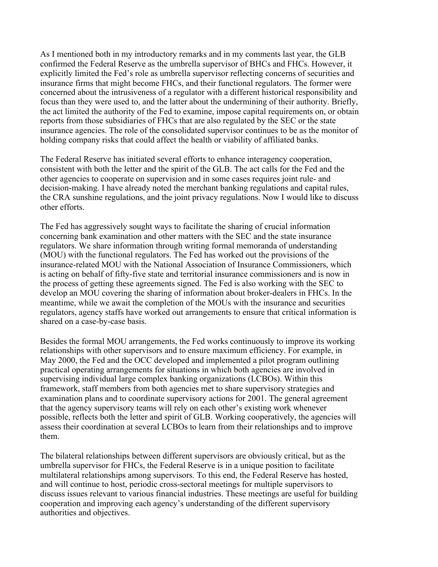As I mentioned both in my introductory remarks and in my comments last year, the GLB confirmed the Federal Reserve as the umbrella supervisor of BHCs and FHCs. However, it explicitly limited the Fed's role as umbrella supervisor reflecting concerns of securities and insurance firms that might become FHCs, and their functional regulators. The former were concerned about the intrusiveness of a regulator with a different historical responsibility and focus than they were used to, and the latter about the undermining of their authority. Briefly, the act limited the authority of the Fed to examine, impose capital requirements on, or obtain reports from those subsidiaries of FHCs that are also regulated by the SEC or the state insurance agencies. The role of the consolidated supervisor continues to be as the monitor of holding company risks that could affect the health or viability of affiliated banks.

The Federal Reserve has initiated several efforts to enhance interagency cooperation, consistent with both the letter and the spirit of the GLB. The act calls for the Fed and the other agencies to cooperate on supervision and in some cases requires joint rule- and decision-making. I have already noted the merchant banking regulations and capital rules, the CRA sunshine regulations, and the joint privacy regulations. Now I would like to discuss other efforts.

The Fed has aggressively sought ways to facilitate the sharing of crucial information concerning bank examination and other matters with the SEC and the state insurance regulators. We share information through writing formal memoranda of understanding (MOU) with the functional regulators. The Fed has worked out the provisions of the insurance-related MOU with the National Association of Insurance Commissioners, which is acting on behalf of fifty-five state and territorial insurance commissioners and is now in the process of getting these agreements signed. The Fed is also working with the SEC to develop an MOU covering the sharing of information about broker-dealers in FHCs. In the meantime, while we await the completion of the MOUs with the insurance and securities regulators, agency staffs have worked out arrangements to ensure that critical information is shared on a case-by-case basis.

Besides the formal MOU arrangements, the Fed works continuously to improve its working relationships with other supervisors and to ensure maximum efficiency. For example, in May 2000, the Fed and the OCC developed and implemented a pilot program outlining practical operating arrangements for situations in which both agencies are involved in supervising individual large complex banking organizations (LCBOs). Within this framework, staff members from both agencies met to share supervisory strategies and examination plans and to coordinate supervisory actions for 2001. The general agreement that the agency supervisory teams will rely on each other's existing work whenever possible, reflects both the letter and spirit of GLB. Working cooperatively, the agencies will assess their coordination at several LCBOs to learn from their relationships and to improve them.

The bilateral relationships between different supervisors are obviously critical, but as the umbrella supervisor for FHCs, the Federal Reserve is in a unique position to facilitate multilateral relationships among supervisors. To this end, the Federal Reserve has hosted, and will continue to host, periodic cross-sectoral meetings for multiple supervisors to discuss issues relevant to various financial industries. These meetings are useful for building cooperation and improving each agency's understanding of the different supervisory authorities and objectives.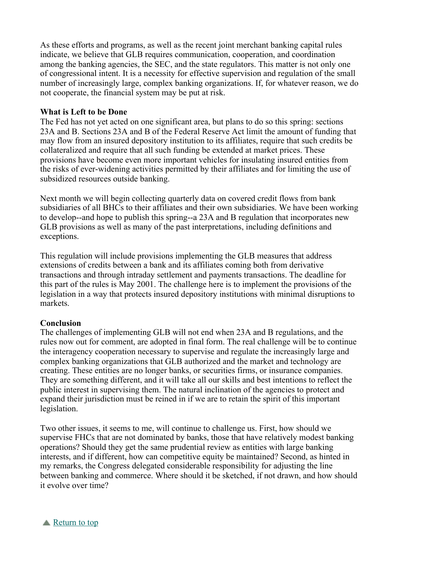As these efforts and programs, as well as the recent joint merchant banking capital rules indicate, we believe that GLB requires communication, cooperation, and coordination among the banking agencies, the SEC, and the state regulators. This matter is not only one of congressional intent. It is a necessity for effective supervision and regulation of the small number of increasingly large, complex banking organizations. If, for whatever reason, we do not cooperate, the financial system may be put at risk.

#### **What is Left to be Done**

The Fed has not yet acted on one significant area, but plans to do so this spring: sections 23A and B. Sections 23A and B of the Federal Reserve Act limit the amount of funding that may flow from an insured depository institution to its affiliates, require that such credits be collateralized and require that all such funding be extended at market prices. These provisions have become even more important vehicles for insulating insured entities from the risks of ever-widening activities permitted by their affiliates and for limiting the use of subsidized resources outside banking.

Next month we will begin collecting quarterly data on covered credit flows from bank subsidiaries of all BHCs to their affiliates and their own subsidiaries. We have been working to develop--and hope to publish this spring--a 23A and B regulation that incorporates new GLB provisions as well as many of the past interpretations, including definitions and exceptions.

This regulation will include provisions implementing the GLB measures that address extensions of credits between a bank and its affiliates coming both from derivative transactions and through intraday settlement and payments transactions. The deadline for this part of the rules is May 2001. The challenge here is to implement the provisions of the legislation in a way that protects insured depository institutions with minimal disruptions to markets.

#### **Conclusion**

The challenges of implementing GLB will not end when 23A and B regulations, and the rules now out for comment, are adopted in final form. The real challenge will be to continue the interagency cooperation necessary to supervise and regulate the increasingly large and complex banking organizations that GLB authorized and the market and technology are creating. These entities are no longer banks, or securities firms, or insurance companies. They are something different, and it will take all our skills and best intentions to reflect the public interest in supervising them. The natural inclination of the agencies to protect and expand their jurisdiction must be reined in if we are to retain the spirit of this important legislation.

Two other issues, it seems to me, will continue to challenge us. First, how should we supervise FHCs that are not dominated by banks, those that have relatively modest banking operations? Should they get the same prudential review as entities with large banking interests, and if different, how can competitive equity be maintained? Second, as hinted in my remarks, the Congress delegated considerable responsibility for adjusting the line between banking and commerce. Where should it be sketched, if not drawn, and how should it evolve over time?

Return to top